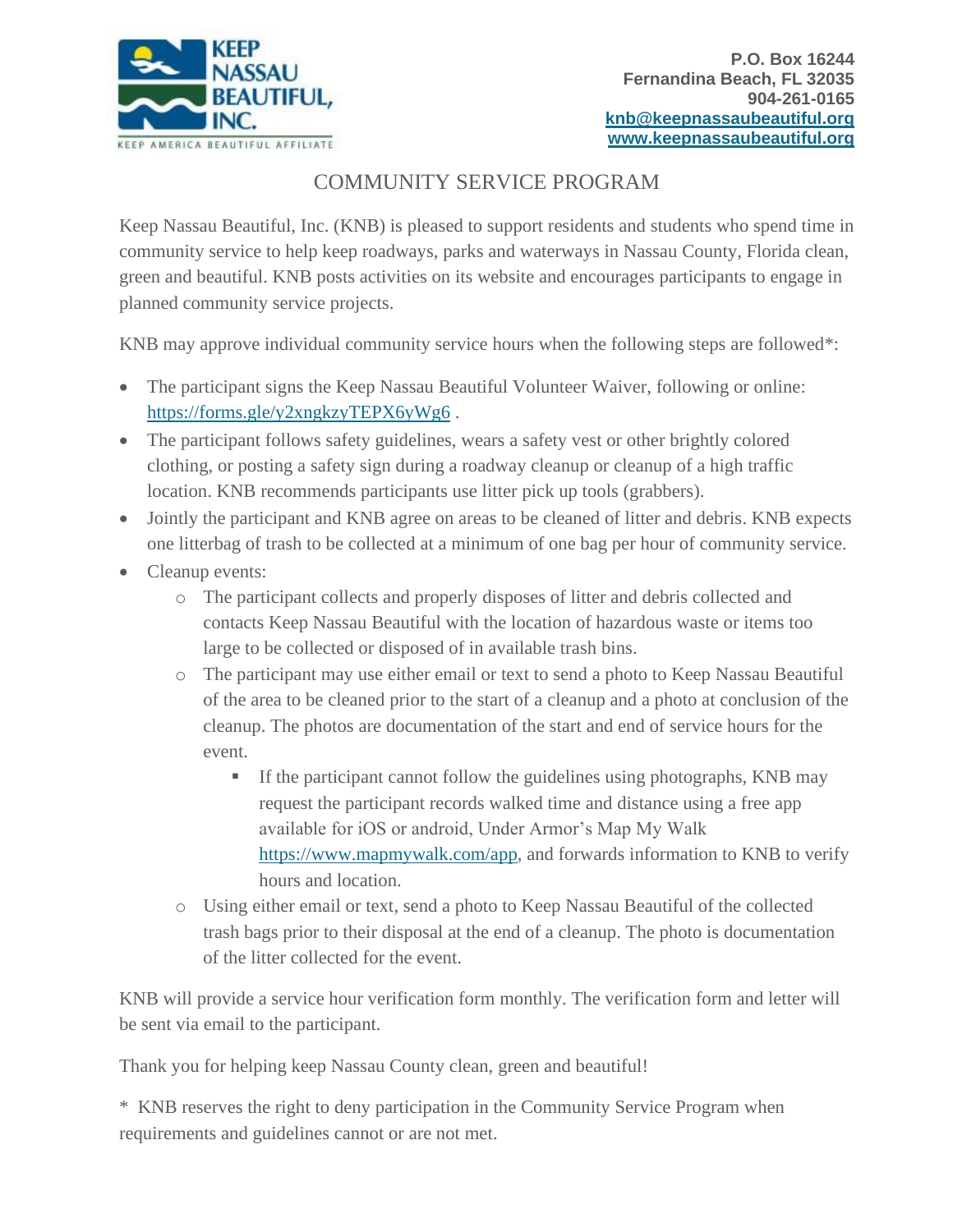

## COMMUNITY SERVICE PROGRAM

Keep Nassau Beautiful, Inc. (KNB) is pleased to support residents and students who spend time in community service to help keep roadways, parks and waterways in Nassau County, Florida clean, green and beautiful. KNB posts activities on its website and encourages participants to engage in planned community service projects.

KNB may approve individual community service hours when the following steps are followed\*:

- The participant signs the Keep Nassau Beautiful Volunteer Waiver, following or online: <https://forms.gle/y2xngkzyTEPX6yWg6> .
- The participant follows safety guidelines, wears a safety vest or other brightly colored clothing, or posting a safety sign during a roadway cleanup or cleanup of a high traffic location. KNB recommends participants use litter pick up tools (grabbers).
- Jointly the participant and KNB agree on areas to be cleaned of litter and debris. KNB expects one litterbag of trash to be collected at a minimum of one bag per hour of community service.
- Cleanup events:
	- o The participant collects and properly disposes of litter and debris collected and contacts Keep Nassau Beautiful with the location of hazardous waste or items too large to be collected or disposed of in available trash bins.
	- o The participant may use either email or text to send a photo to Keep Nassau Beautiful of the area to be cleaned prior to the start of a cleanup and a photo at conclusion of the cleanup. The photos are documentation of the start and end of service hours for the event.
		- If the participant cannot follow the guidelines using photographs, KNB may request the participant records walked time and distance using a free app available for iOS or android, Under Armor's Map My Walk [https://www.mapmywalk.com/app,](https://www.mapmywalk.com/app) and forwards information to KNB to verify hours and location.
	- o Using either email or text, send a photo to Keep Nassau Beautiful of the collected trash bags prior to their disposal at the end of a cleanup. The photo is documentation of the litter collected for the event.

KNB will provide a service hour verification form monthly. The verification form and letter will be sent via email to the participant.

Thank you for helping keep Nassau County clean, green and beautiful!

\* KNB reserves the right to deny participation in the Community Service Program when requirements and guidelines cannot or are not met.